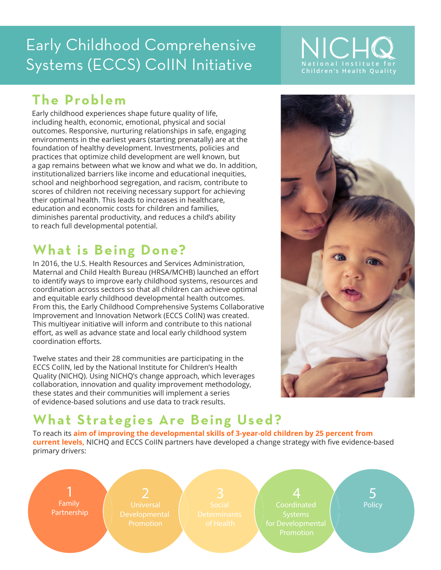## Early Childhood Comprehensive Systems (ECCS) CollN Initiative **National Institute for**



### **The Problem**

Early childhood experiences shape future quality of life, including health, economic, emotional, physical and social outcomes. Responsive, nurturing relationships in safe, engaging environments in the earliest years (starting prenatally) are at the foundation of healthy development. Investments, policies and practices that optimize child development are well known, but a gap remains between what we know and what we do. In addition, institutionalized barriers like income and educational inequities, school and neighborhood segregation, and racism, contribute to scores of children not receiving necessary support for achieving their optimal health. This leads to increases in healthcare, education and economic costs for children and families, diminishes parental productivity, and reduces a child's ability to reach full developmental potential.

### **What is Being Done?**

In 2016, the U.S. Health Resources and Services Administration, Maternal and Child Health Bureau (HRSA/MCHB) launched an effort to identify ways to improve early childhood systems, resources and coordination across sectors so that all children can achieve optimal and equitable early childhood developmental health outcomes. From this, the Early Childhood Comprehensive Systems Collaborative Improvement and Innovation Network (ECCS CoIIN) was created. This multiyear initiative will inform and contribute to this national effort, as well as advance state and local early childhood system coordination efforts.

Twelve states and their 28 communities are participating in the ECCS CoIIN, led by the National Institute for Children's Health Quality (NICHQ). Using NICHQ's change approach, which leverages collaboration, innovation and quality improvement methodology, these states and their communities will implement a series of evidence-based solutions and use data to track results.



### **What Strategies Are Being Used?**

To reach its **aim of improving the developmental skills of 3-year-old children by 25 percent from current levels,** NICHQ and ECCS CoIIN partners have developed a change strategy with five evidence-based primary drivers: